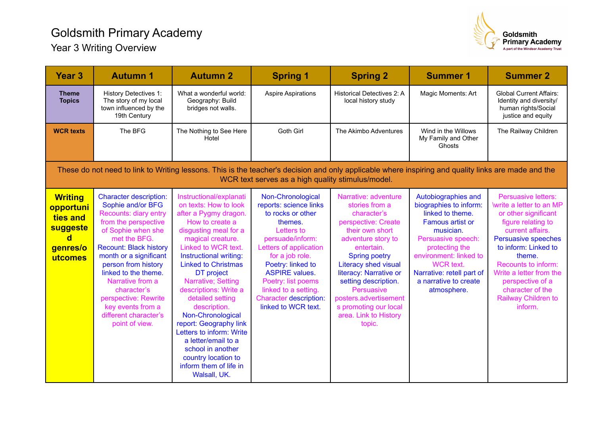## Goldsmith Primary Academy



Year 3 Writing Overview

| <b>Year 3</b>                                                                                                                                                                                            | <b>Autumn 1</b>                                                                                                                                                                                                                                                                                                                                                                | <b>Autumn 2</b>                                                                                                                                                                                                                                                                                                                                                                                                                                                                                                    | <b>Spring 1</b>                                                                                                                                                                                                                                                                                                | <b>Spring 2</b>                                                                                                                                                                                                                                                                                                                                        | <b>Summer 1</b>                                                                                                                                                                                                                                                      | <b>Summer 2</b>                                                                                                                                                                                                                                                                                               |  |  |  |  |  |
|----------------------------------------------------------------------------------------------------------------------------------------------------------------------------------------------------------|--------------------------------------------------------------------------------------------------------------------------------------------------------------------------------------------------------------------------------------------------------------------------------------------------------------------------------------------------------------------------------|--------------------------------------------------------------------------------------------------------------------------------------------------------------------------------------------------------------------------------------------------------------------------------------------------------------------------------------------------------------------------------------------------------------------------------------------------------------------------------------------------------------------|----------------------------------------------------------------------------------------------------------------------------------------------------------------------------------------------------------------------------------------------------------------------------------------------------------------|--------------------------------------------------------------------------------------------------------------------------------------------------------------------------------------------------------------------------------------------------------------------------------------------------------------------------------------------------------|----------------------------------------------------------------------------------------------------------------------------------------------------------------------------------------------------------------------------------------------------------------------|---------------------------------------------------------------------------------------------------------------------------------------------------------------------------------------------------------------------------------------------------------------------------------------------------------------|--|--|--|--|--|
| <b>Theme</b><br><b>Topics</b>                                                                                                                                                                            | <b>History Detectives 1:</b><br>The story of my local<br>town influenced by the<br>19th Century                                                                                                                                                                                                                                                                                | What a wonderful world:<br>Geography: Build<br>bridges not walls.                                                                                                                                                                                                                                                                                                                                                                                                                                                  | <b>Aspire Aspirations</b>                                                                                                                                                                                                                                                                                      | <b>Historical Detectives 2: A</b><br>local history study                                                                                                                                                                                                                                                                                               | Magic Moments: Art                                                                                                                                                                                                                                                   | <b>Global Current Affairs:</b><br>Identity and diversity/<br>human rights/Social<br>justice and equity                                                                                                                                                                                                        |  |  |  |  |  |
| <b>WCR texts</b>                                                                                                                                                                                         | The BFG                                                                                                                                                                                                                                                                                                                                                                        | The Nothing to See Here<br>Hotel                                                                                                                                                                                                                                                                                                                                                                                                                                                                                   | Goth Girl                                                                                                                                                                                                                                                                                                      | The Akimbo Adventures                                                                                                                                                                                                                                                                                                                                  | Wind in the Willows<br>My Family and Other<br>Ghosts                                                                                                                                                                                                                 | The Railway Children                                                                                                                                                                                                                                                                                          |  |  |  |  |  |
| These do not need to link to Writing lessons. This is the teacher's decision and only applicable where inspiring and quality links are made and the<br>WCR text serves as a high quality stimulus/model. |                                                                                                                                                                                                                                                                                                                                                                                |                                                                                                                                                                                                                                                                                                                                                                                                                                                                                                                    |                                                                                                                                                                                                                                                                                                                |                                                                                                                                                                                                                                                                                                                                                        |                                                                                                                                                                                                                                                                      |                                                                                                                                                                                                                                                                                                               |  |  |  |  |  |
| <b>Writing</b><br>opportuni<br>ties and<br>suggeste<br>d<br>genres/o<br>utcomes                                                                                                                          | <b>Character description:</b><br>Sophie and/or BFG<br>Recounts: diary entry<br>from the perspective<br>of Sophie when she<br>met the BFG.<br><b>Recount: Black history</b><br>month or a significant<br>person from history<br>linked to the theme.<br>Narrative from a<br>character's<br>perspective: Rewrite<br>key events from a<br>different character's<br>point of view. | Instructional/explanati<br>on texts: How to look<br>after a Pygmy dragon.<br>How to create a<br>disgusting meal for a<br>magical creature.<br>Linked to WCR text.<br>Instructional writing:<br><b>Linked to Christmas</b><br>DT project<br>Narrative; Setting<br>descriptions: Write a<br>detailed setting<br>description.<br>Non-Chronological<br>report: Geography link<br>Letters to inform: Write<br>a letter/email to a<br>school in another<br>country location to<br>inform them of life in<br>Walsall, UK. | Non-Chronological<br>reports: science links<br>to rocks or other<br>themes.<br>Letters to<br>persuade/inform:<br>Letters of application<br>for a job role.<br>Poetry: linked to<br><b>ASPIRE values.</b><br>Poetry: list poems<br>linked to a setting.<br><b>Character description:</b><br>linked to WCR text. | Narrative: adventure<br>stories from a<br>character's<br>perspective: Create<br>their own short<br>adventure story to<br>entertain.<br><b>Spring poetry</b><br><b>Literacy shed visual</b><br>literacy: Narrative or<br>setting description.<br><b>Persuasive</b><br>posters.advertisement<br>s promoting our local<br>area. Link to History<br>topic. | Autobiographies and<br>biographies to inform:<br>linked to theme.<br><b>Famous artist or</b><br>musician.<br>Persuasive speech:<br>protecting the<br>environment: linked to<br><b>WCR</b> text.<br>Narrative: retell part of<br>a narrative to create<br>atmosphere. | Persuasive letters:<br>\write a letter to an MP<br>or other significant<br>figure relating to<br>current affairs.<br><b>Persuasive speeches</b><br>to inform: Linked to<br>theme.<br>Recounts to inform:<br>Write a letter from the<br>perspective of a<br>character of the<br>Railway Children to<br>inform. |  |  |  |  |  |